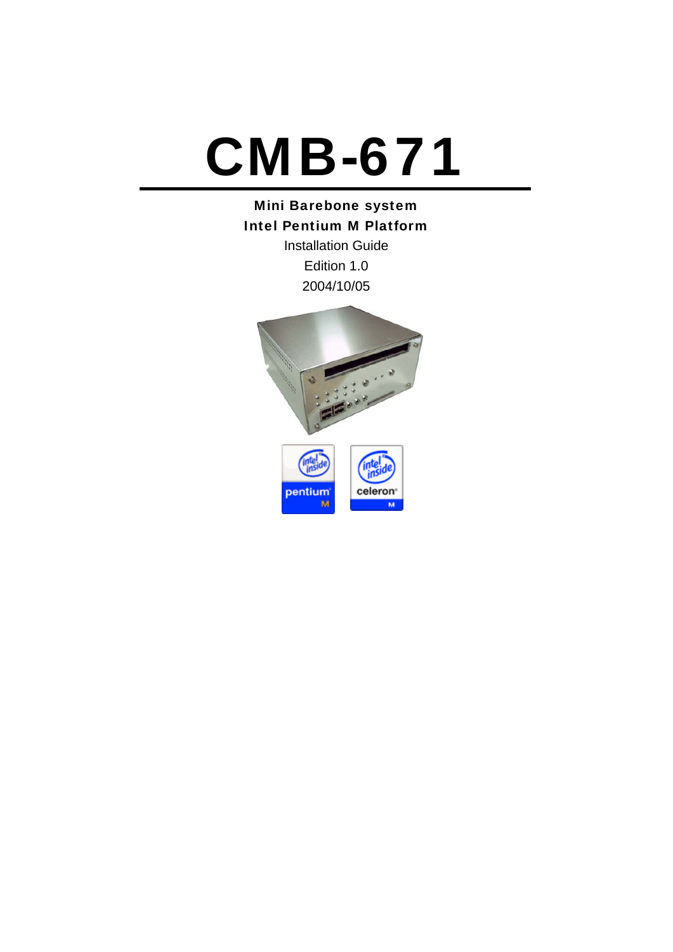# CMB-671

# Mini Barebone system Intel Pentium M Platform

Installation Guide Edition 1.0 2004/10/05

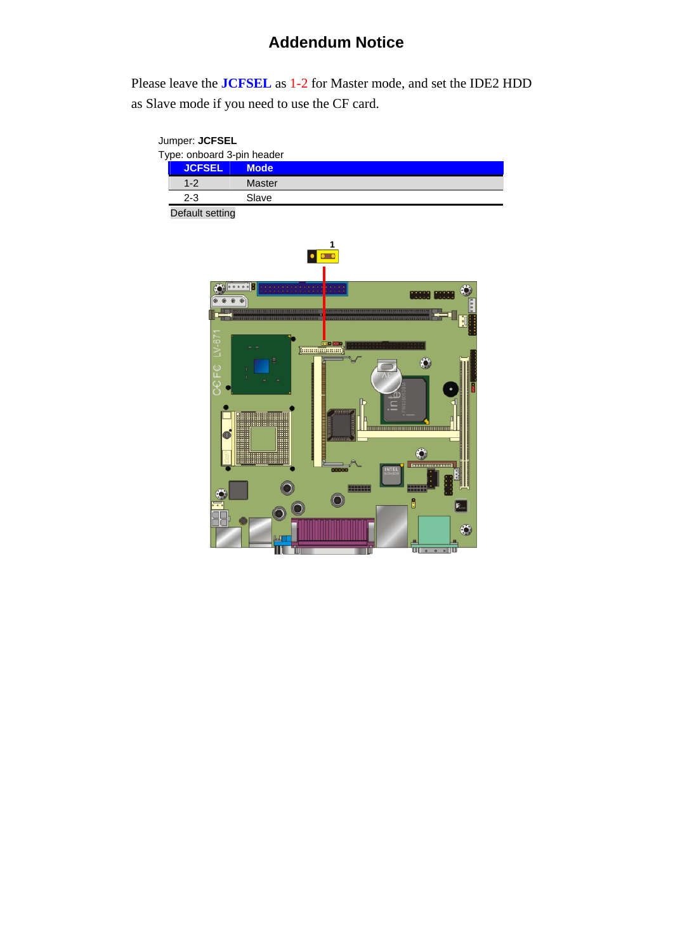# **Addendum Notice**

Please leave the **JCFSEL** as 1-2 for Master mode, and set the IDE2 HDD as Slave mode if you need to use the CF card.

| $1-2$   | Master |                                                                           |
|---------|--------|---------------------------------------------------------------------------|
| $2 - 3$ | Slave  |                                                                           |
|         |        | Jumper: <b>JCFSEL</b><br>Type: onboard 3-pin header<br><b>JCFSEL Mode</b> |

Default setting

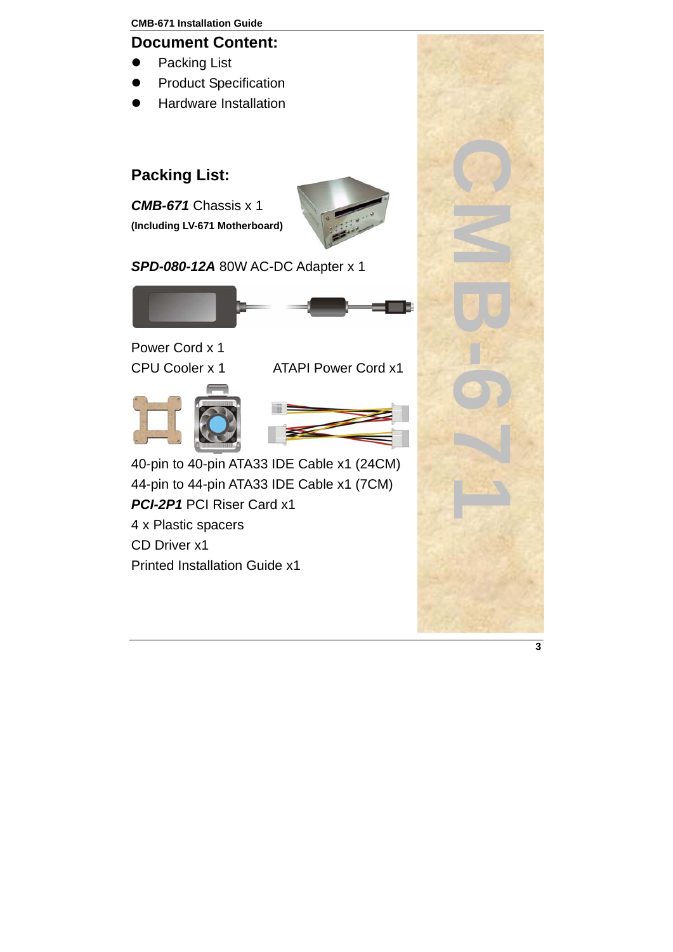#### **Document Content:**

- Packing List
- **•** Product Specification
- Hardware Installation

# **Packing List:**

*CMB-671* Chassis x 1 **(Including LV-671 Motherboard)** 



*SPD-080-12A* 80W AC-DC Adapter x 1



Power Cord x 1

CPU Cooler x 1 ATAPI Power Cord x1





40-pin to 40-pin ATA33 IDE Cable x1 (24CM) 44-pin to 44-pin ATA33 IDE Cable x1 (7CM) *PCI-2P1* PCI Riser Card x1 4 x Plastic spacers CD Driver x1 Printed Installation Guide x1

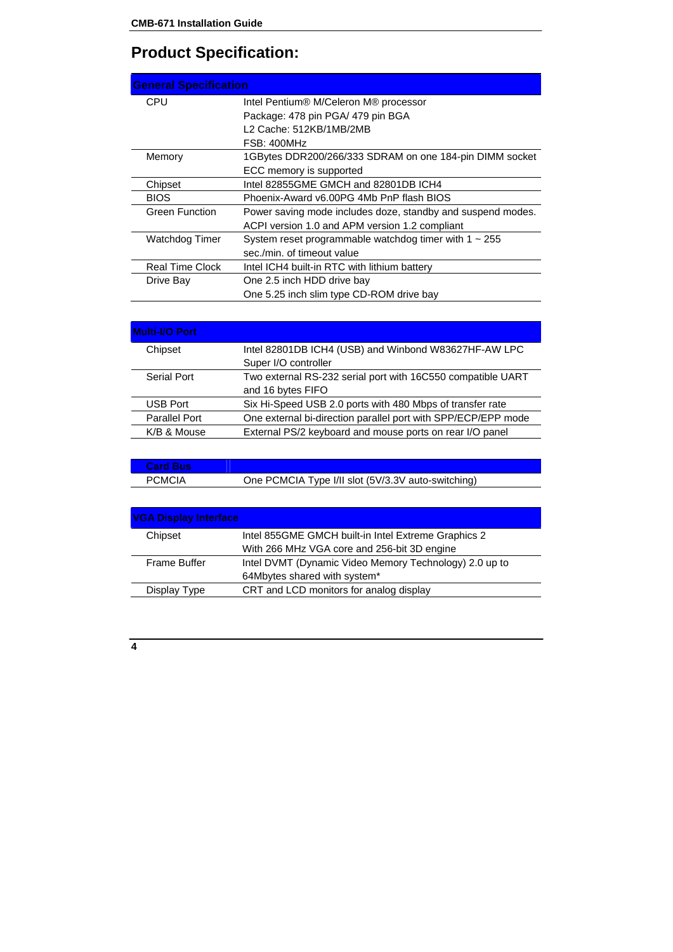# **Product Specification:**

| <b>General Specification</b> |                                                             |
|------------------------------|-------------------------------------------------------------|
| CPU                          | Intel Pentium® M/Celeron M® processor                       |
|                              | Package: 478 pin PGA/ 479 pin BGA                           |
|                              | L2 Cache: 512KB/1MB/2MB                                     |
|                              | FSB: 400MHz                                                 |
| Memory                       | 1GBytes DDR200/266/333 SDRAM on one 184-pin DIMM socket     |
|                              | ECC memory is supported                                     |
| Chipset                      | Intel 82855GME GMCH and 82801DB ICH4                        |
| <b>BIOS</b>                  | Phoenix-Award v6.00PG 4Mb PnP flash BIOS                    |
| <b>Green Function</b>        | Power saving mode includes doze, standby and suspend modes. |
|                              | ACPI version 1.0 and APM version 1.2 compliant              |
| Watchdog Timer               | System reset programmable watchdog timer with $1 \sim 255$  |
|                              | sec./min. of timeout value                                  |
| Real Time Clock              | Intel ICH4 built-in RTC with lithium battery                |
| Drive Bay                    | One 2.5 inch HDD drive bay                                  |
|                              | One 5.25 inch slim type CD-ROM drive bay                    |

| <b>Multi-I/O Port</b> |                                                               |
|-----------------------|---------------------------------------------------------------|
| Chipset               | Intel 82801DB ICH4 (USB) and Winbond W83627HF-AW LPC          |
|                       | Super I/O controller                                          |
| Serial Port           | Two external RS-232 serial port with 16C550 compatible UART   |
|                       | and 16 bytes FIFO                                             |
| <b>USB Port</b>       | Six Hi-Speed USB 2.0 ports with 480 Mbps of transfer rate     |
| Parallel Port         | One external bi-direction parallel port with SPP/ECP/EPP mode |
| K/B & Mouse           | External PS/2 keyboard and mouse ports on rear I/O panel      |

| <b>Card Bus</b> |                                                    |
|-----------------|----------------------------------------------------|
| <b>PCMCIA</b>   | One PCMCIA Type I/II slot (5V/3.3V auto-switching) |

| <b>VGA Display Interface</b> |                                                        |
|------------------------------|--------------------------------------------------------|
| Chipset                      | Intel 855GME GMCH built-in Intel Extreme Graphics 2    |
|                              | With 266 MHz VGA core and 256-bit 3D engine            |
| Frame Buffer                 | Intel DVMT (Dynamic Video Memory Technology) 2.0 up to |
|                              | 64Mbytes shared with system*                           |
| Display Type                 | CRT and LCD monitors for analog display                |
|                              |                                                        |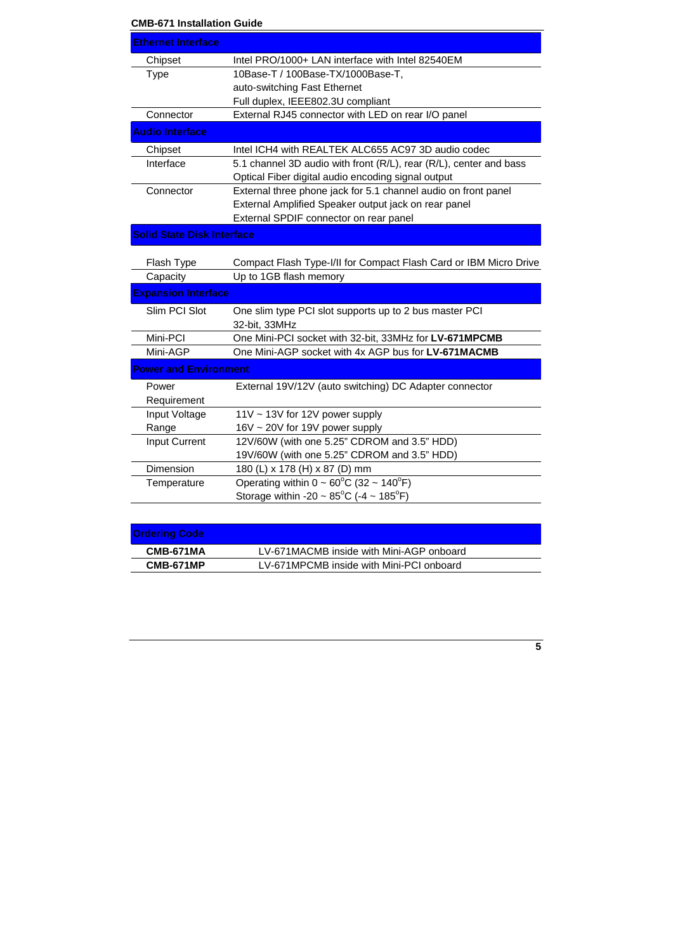| <b>CMB-671 Installation Guide</b> |                                                                                                                          |
|-----------------------------------|--------------------------------------------------------------------------------------------------------------------------|
| <b>Ethernet Interface</b>         |                                                                                                                          |
| Chipset                           | Intel PRO/1000+ LAN interface with Intel 82540EM                                                                         |
| <b>Type</b>                       | 10Base-T / 100Base-TX/1000Base-T,                                                                                        |
|                                   | auto-switching Fast Ethernet                                                                                             |
|                                   | Full duplex, IEEE802.3U compliant                                                                                        |
| Connector                         | External RJ45 connector with LED on rear I/O panel                                                                       |
| <b>Audio Interface</b>            |                                                                                                                          |
| Chipset                           | Intel ICH4 with REALTEK ALC655 AC97 3D audio codec                                                                       |
| Interface                         | 5.1 channel 3D audio with front (R/L), rear (R/L), center and bass<br>Optical Fiber digital audio encoding signal output |
| Connector                         | External three phone jack for 5.1 channel audio on front panel                                                           |
|                                   | External Amplified Speaker output jack on rear panel                                                                     |
|                                   | External SPDIF connector on rear panel                                                                                   |
| <b>Solid State Disk Interface</b> |                                                                                                                          |
| Flash Type                        | Compact Flash Type-I/II for Compact Flash Card or IBM Micro Drive                                                        |
| Capacity                          | Up to 1GB flash memory                                                                                                   |
| <b>Expansion Interface</b>        |                                                                                                                          |
| Slim PCI Slot                     | One slim type PCI slot supports up to 2 bus master PCI<br>32-bit, 33MHz                                                  |
| Mini-PCI                          | One Mini-PCI socket with 32-bit, 33MHz for LV-671MPCMB                                                                   |
| Mini-AGP                          | One Mini-AGP socket with 4x AGP bus for LV-671MACMB                                                                      |
| <b>Power and Environment</b>      |                                                                                                                          |
| Power                             | External 19V/12V (auto switching) DC Adapter connector                                                                   |
| Requirement                       |                                                                                                                          |
| Input Voltage                     | 11V ~ 13V for 12V power supply                                                                                           |
| Range                             | 16V ~ 20V for 19V power supply                                                                                           |
| <b>Input Current</b>              | 12V/60W (with one 5.25" CDROM and 3.5" HDD)                                                                              |
|                                   | 19V/60W (with one 5.25" CDROM and 3.5" HDD)                                                                              |
| Dimension                         | 180 (L) x 178 (H) x 87 (D) mm                                                                                            |
| Temperature                       | Operating within $0 \sim 60^{\circ}$ C (32 ~ 140°F)                                                                      |
|                                   | Storage within -20 ~ $85^{\circ}$ C (-4 ~ 185°F)                                                                         |
|                                   |                                                                                                                          |

| <b>Ordering Code</b> |                                          |
|----------------------|------------------------------------------|
| CMB-671MA            | LV-671MACMB inside with Mini-AGP onboard |
| CMB-671MP            | LV-671MPCMB inside with Mini-PCI onboard |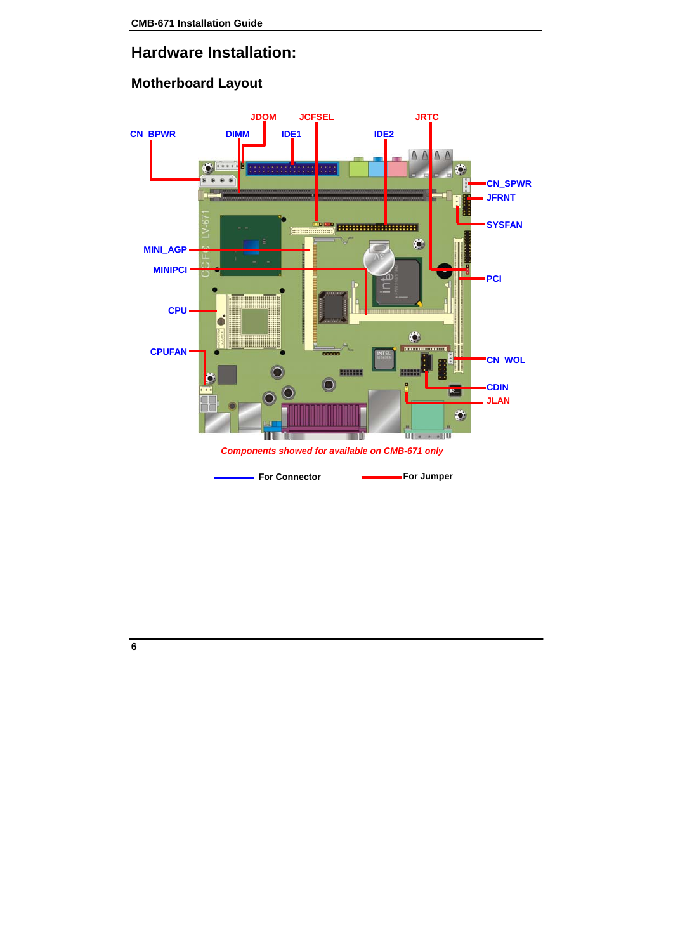## **Hardware Installation:**

#### **Motherboard Layout**

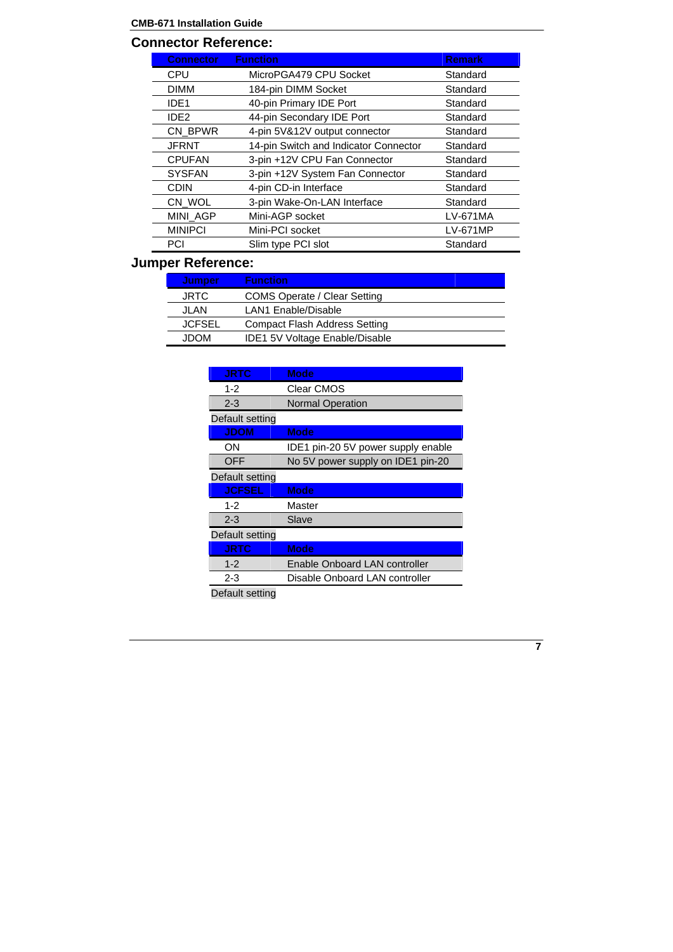#### **Connector Reference:**

| <b>Connector</b> | <b>Function</b>                       | <b>Remark</b>   |
|------------------|---------------------------------------|-----------------|
| CPU              | MicroPGA479 CPU Socket                | Standard        |
| <b>DIMM</b>      | 184-pin DIMM Socket                   | Standard        |
| IDE <sub>1</sub> | 40-pin Primary IDE Port               | Standard        |
| IDE <sub>2</sub> | 44-pin Secondary IDE Port             | Standard        |
| CN BPWR          | 4-pin 5V&12V output connector         | Standard        |
| <b>JFRNT</b>     | 14-pin Switch and Indicator Connector | Standard        |
| <b>CPUFAN</b>    | 3-pin +12V CPU Fan Connector          | Standard        |
| <b>SYSFAN</b>    | 3-pin +12V System Fan Connector       | Standard        |
| <b>CDIN</b>      | 4-pin CD-in Interface                 | Standard        |
| CN WOL           | 3-pin Wake-On-LAN Interface           | Standard        |
| MINI_AGP         | Mini-AGP socket                       | LV-671MA        |
| <b>MINIPCI</b>   | Mini-PCI socket                       | <b>LV-671MP</b> |
| PCI              | Slim type PCI slot                    | Standard        |

# **Jumper Reference:**

| Jumper        | <b>Function</b>                       |
|---------------|---------------------------------------|
| <b>JRTC</b>   | COMS Operate / Clear Setting          |
| JI AN         | LAN1 Enable/Disable                   |
| <b>JCFSEL</b> | Compact Flash Address Setting         |
| MOQL.         | <b>IDE1 5V Voltage Enable/Disable</b> |
|               |                                       |

| <b>JRTC</b>     | <b>Mode</b>                        |
|-----------------|------------------------------------|
| $1 - 2$         | Clear CMOS                         |
| $2 - 3$         | <b>Normal Operation</b>            |
| Default setting |                                    |
| <b>JDOM</b>     | <b>Mode</b>                        |
| ON              | IDE1 pin-20 5V power supply enable |
| <b>OFF</b>      | No 5V power supply on IDE1 pin-20  |
| Default setting |                                    |
| <b>JCFSEL</b>   | <b>Mode</b>                        |
| $1 - 2$         | Master                             |
| $2 - 3$         | Slave                              |
| Default setting |                                    |
| <b>JRTC</b>     | <b>Mode</b>                        |
| $1 - 2$         | Enable Onboard LAN controller      |
| $2 - 3$         | Disable Onboard LAN controller     |

Default setting

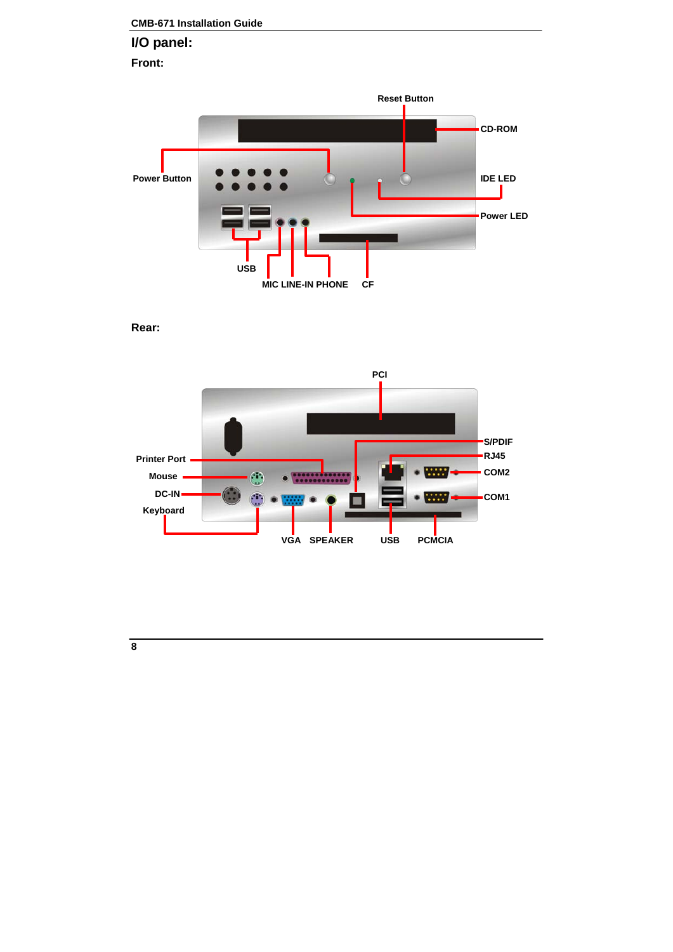### **CMB-671 Installation Guide I/O panel: Front:**



**Rear:** 

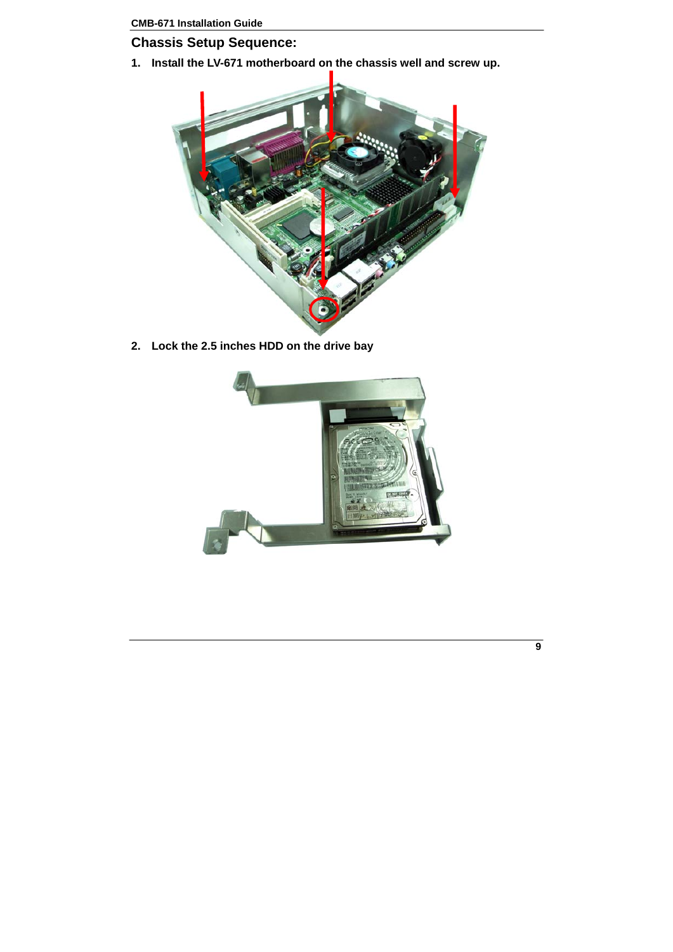#### **Chassis Setup Sequence:**

**1. Install the LV-671 motherboard on the chassis well and screw up.** 



**2. Lock the 2.5 inches HDD on the drive bay** 



**9**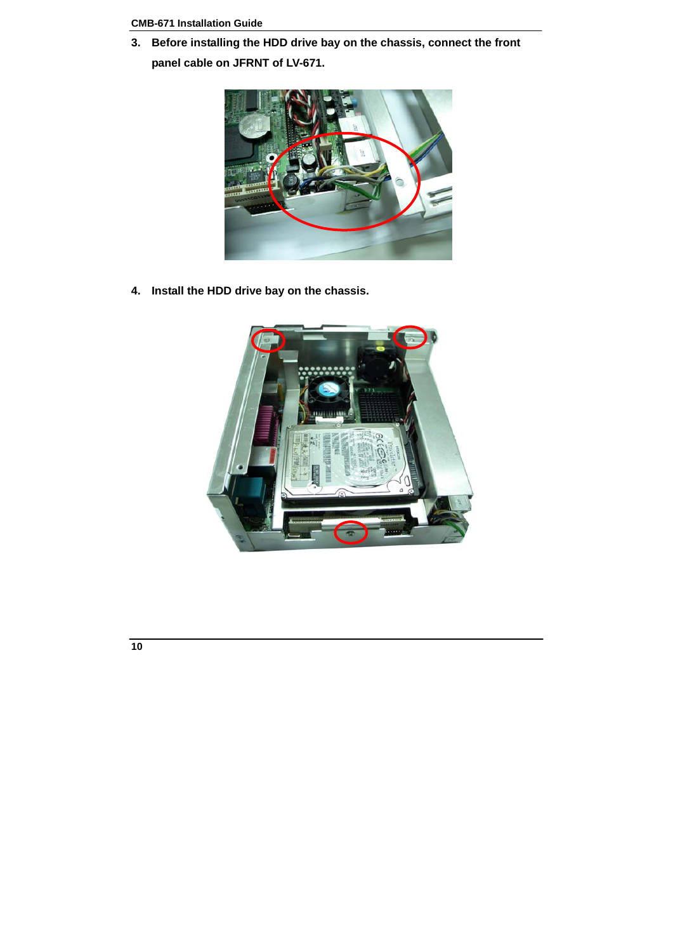**3. Before installing the HDD drive bay on the chassis, connect the front panel cable on JFRNT of LV-671.** 



**4. Install the HDD drive bay on the chassis.** 



$$
\boldsymbol{10}
$$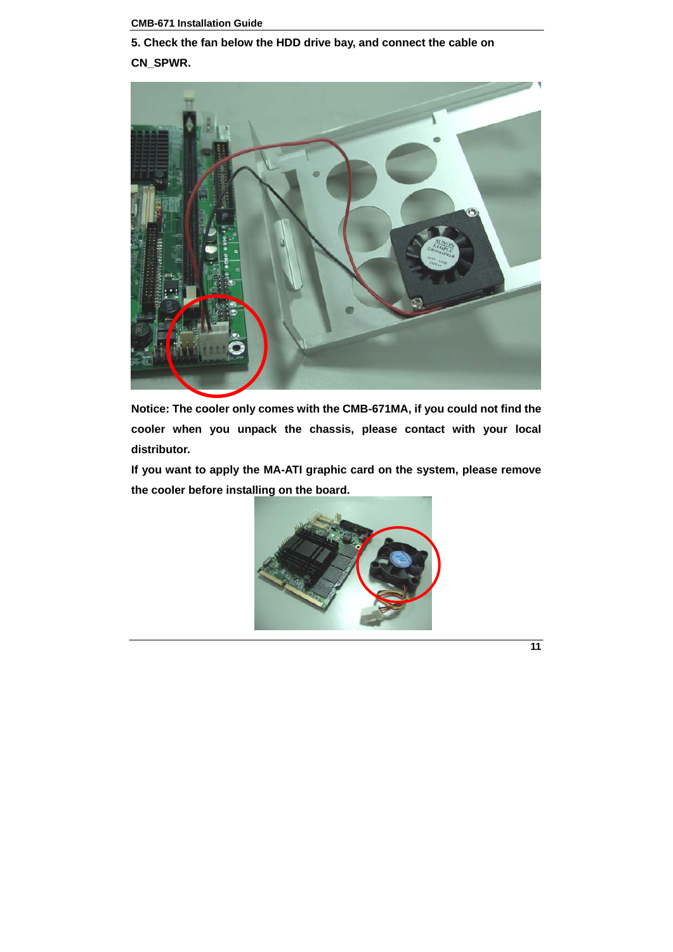**5. Check the fan below the HDD drive bay, and connect the cable on CN\_SPWR.** 



**Notice: The cooler only comes with the CMB-671MA, if you could not find the cooler when you unpack the chassis, please contact with your local distributor.** 

**If you want to apply the MA-ATI graphic card on the system, please remove the cooler before installing on the board.** 



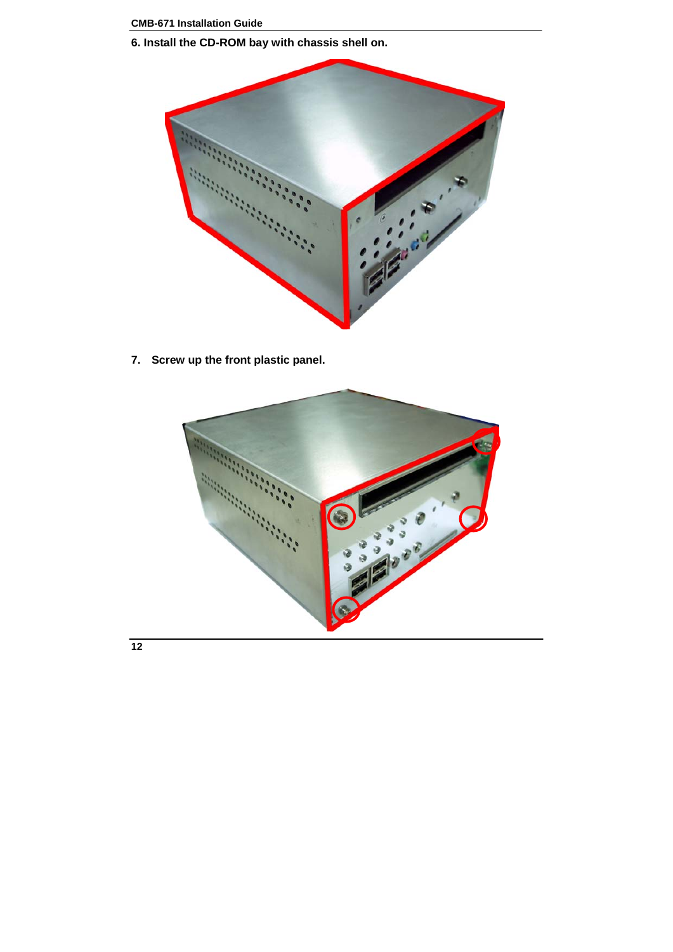**6. Install the CD-ROM bay with chassis shell on.** 



**7. Screw up the front plastic panel.**